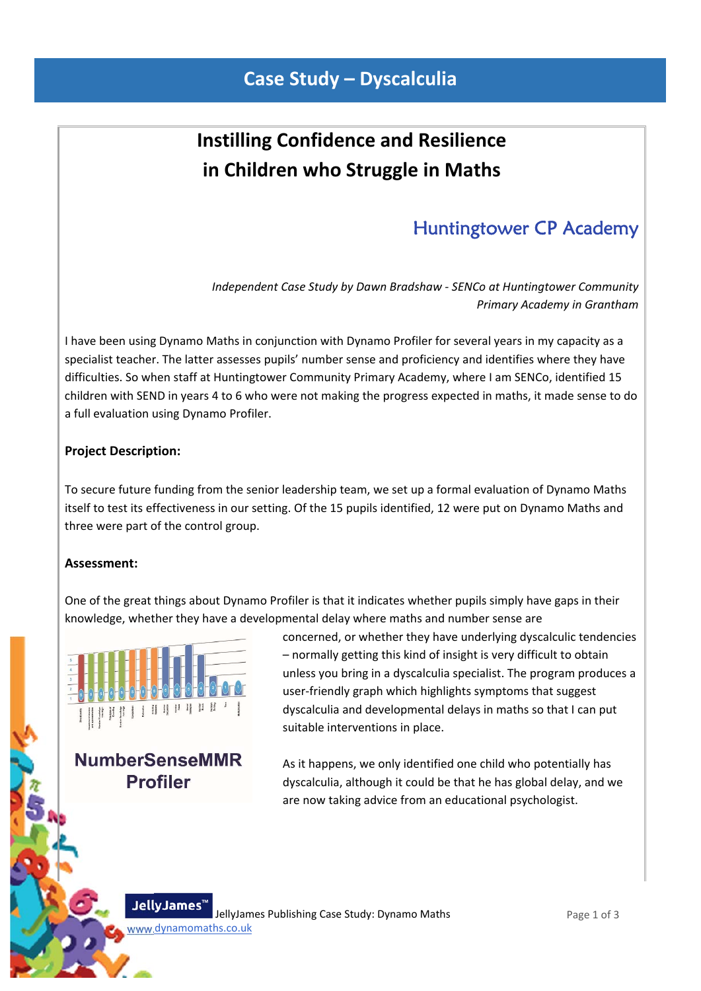# **Instilling Confidence and Resilience in Children who Struggle in Maths**

 $\mathbf{r} = \mathbf{r} \times \mathbf{r}$  , where  $\mathbf{r} = \mathbf{r} \times \mathbf{r}$  , where  $\mathbf{r} = \mathbf{r} \times \mathbf{r}$  , where  $\mathbf{r} = \mathbf{r} \times \mathbf{r}$ 

## Huntingtower CP Academy

*Independent Case Study by Dawn Bradshaw ‐ SENCo at Huntingtower Community Primary Academy in Grantham*

I have been using Dynamo Maths in conjunction with Dynamo Profiler for several years in my capacity as a specialist teacher. The latter assesses pupils' number sense and proficiency and identifies where they have difficulties. So when staff at Huntingtower Community Primary Academy, where I am SENCo, identified 15 children with SEND in years 4 to 6 who were not making the progress expected in maths, it made sense to do a full evaluation using Dynamo Profiler.

#### **Project Description:**

To secure future funding from the senior leadership team, we set up a formal evaluation of Dynamo Maths itself to test its effectiveness in our setting. Of the 15 pupils identified, 12 were put on Dynamo Maths and three were part of the control group.

#### **Assessment:**

One of the great things about Dynamo Profiler is that it indicates whether pupils simply have gaps in their knowledge, whether they have a developmental delay where maths and number sense are



**NumberSenseMMR Profiler** 

concerned, or whether they have underlying dyscalculic tendencies – normally getting this kind of insight is very difficult to obtain unless you bring in a dyscalculia specialist. The program produces a user‐friendly graph which highlights symptoms that suggest dyscalculia and developmental delays in maths so that I can put suitable interventions in place.

As it happens, we only identified one child who potentially has dyscalculia, although it could be that he has global delay, and we are now taking advice from an educational psychologist.

JellyJames' JellyJames Publishing Case Study: Dynamo Maths www.dynamomaths.co.uk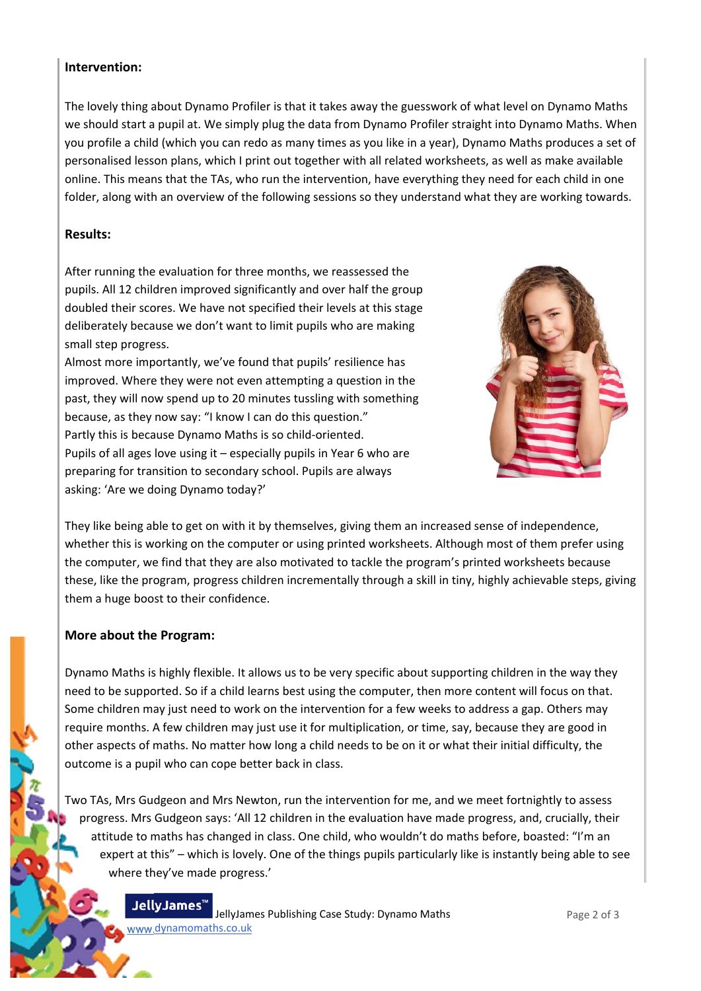#### **Intervention:**

The lovely thing about Dynamo Profiler is that it takes away the guesswork of what level on Dynamo Maths we should start a pupil at. We simply plug the data from Dynamo Profiler straight into Dynamo Maths. When you profile a child (which you can redo as many times as you like in a year), Dynamo Maths produces a set of personalised lesson plans, which I print out together with all related worksheets, as well as make available online. This means that the TAs, who run the intervention, have everything they need for each child in one folder, along with an overview of the following sessions so they understand what they are working towards.

#### **Results:**

After running the evaluation for three months, we reassessed the pupils. All 12 children improved significantly and over half the group doubled their scores. We have not specified their levels at this stage deliberately because we don't want to limit pupils who are making small step progress.

Almost more importantly, we've found that pupils' resilience has improved. Where they were not even attempting a question in the past, they will now spend up to 20 minutes tussling with something because, as they now say: "I know I can do this question." Partly this is because Dynamo Maths is so child‐oriented. Pupils of all ages love using it – especially pupils in Year 6 who are preparing for transition to secondary school. Pupils are always asking: 'Are we doing Dynamo today?'



They like being able to get on with it by themselves, giving them an increased sense of independence, whether this is working on the computer or using printed worksheets. Although most of them prefer using the computer, we find that they are also motivated to tackle the program's printed worksheets because these, like the program, progress children incrementally through a skill in tiny, highly achievable steps, giving them a huge boost to their confidence.

#### **More about the Program:**

Dynamo Maths is highly flexible. It allows us to be very specific about supporting children in the way they need to be supported. So if a child learns best using the computer, then more content will focus on that. Some children may just need to work on the intervention for a few weeks to address a gap. Others may require months. A few children may just use it for multiplication, or time, say, because they are good in other aspects of maths. No matter how long a child needs to be on it or what their initial difficulty, the outcome is a pupil who can cope better back in class.

Two TAs, Mrs Gudgeon and Mrs Newton, run the intervention for me, and we meet fortnightly to assess progress. Mrs Gudgeon says: 'All 12 children in the evaluation have made progress, and, crucially, their attitude to maths has changed in class. One child, who wouldn't do maths before, boasted: "I'm an expert at this" – which is lovely. One of the things pupils particularly like is instantly being able to see where they've made progress.'

> JellyJames" JellyJames Publishing Case Study: Dynamo Maths www.dynamomaths.co.uk